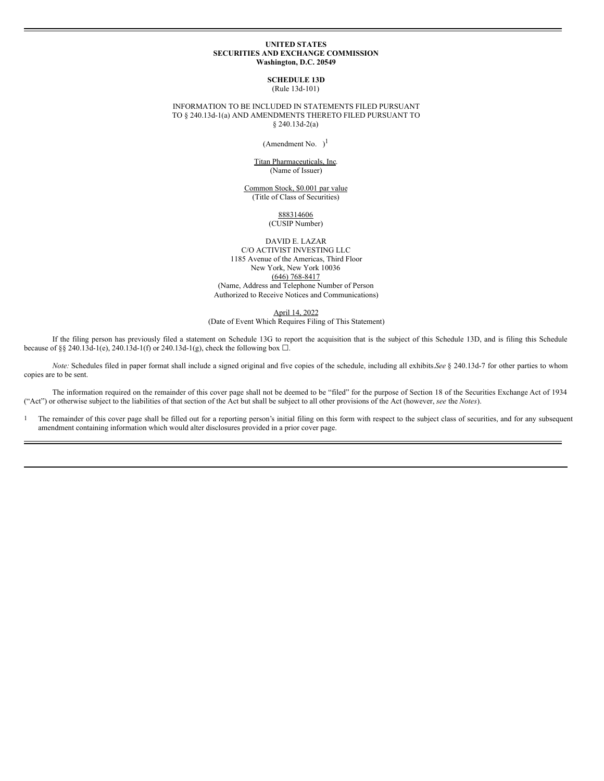### **UNITED STATES SECURITIES AND EXCHANGE COMMISSION Washington, D.C. 20549**

**SCHEDULE 13D** (Rule 13d-101)

INFORMATION TO BE INCLUDED IN STATEMENTS FILED PURSUANT TO § 240.13d-1(a) AND AMENDMENTS THERETO FILED PURSUANT TO § 240.13d-2(a)

(Amendment No.  $)$ <sup>1</sup>

Titan Pharmaceuticals, Inc. (Name of Issuer)

Common Stock, \$0.001 par value (Title of Class of Securities)

> 888314606 (CUSIP Number)

DAVID E. LAZAR C/O ACTIVIST INVESTING LLC 1185 Avenue of the Americas, Third Floor New York, New York 10036 (646) 768-8417 (Name, Address and Telephone Number of Person Authorized to Receive Notices and Communications)

April 14, 2022

(Date of Event Which Requires Filing of This Statement)

If the filing person has previously filed a statement on Schedule 13G to report the acquisition that is the subject of this Schedule 13D, and is filing this Schedule because of §§ 240.13d-1(e), 240.13d-1(f) or 240.13d-1(g), check the following box  $\Box$ .

*Note:* Schedules filed in paper format shall include a signed original and five copies of the schedule, including all exhibits.*See* § 240.13d-7 for other parties to whom copies are to be sent.

The information required on the remainder of this cover page shall not be deemed to be "filed" for the purpose of Section 18 of the Securities Exchange Act of 1934 ("Act") or otherwise subject to the liabilities of that section of the Act but shall be subject to all other provisions of the Act (however, *see* the *Notes*).

<sup>1</sup> The remainder of this cover page shall be filled out for a reporting person's initial filing on this form with respect to the subject class of securities, and for any subsequent amendment containing information which would alter disclosures provided in a prior cover page.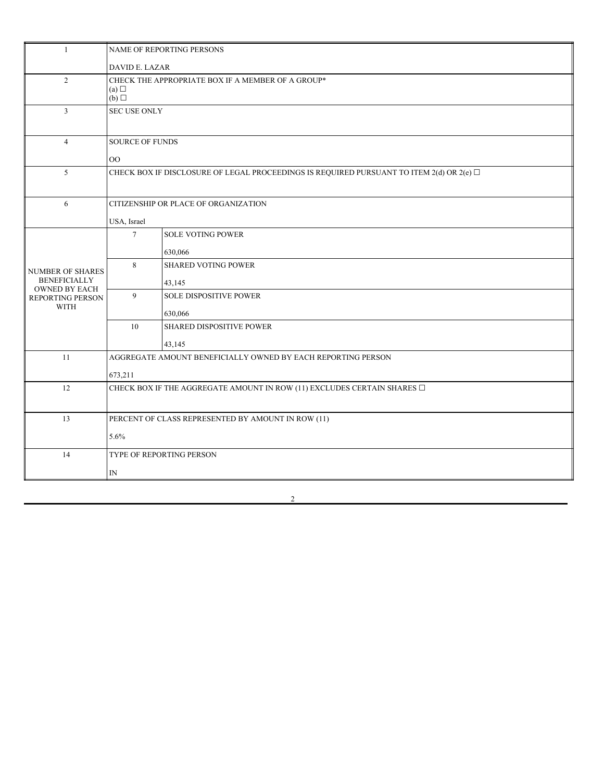| $\mathbf{1}$                                            | NAME OF REPORTING PERSONS                                                                     |                               |  |  |  |
|---------------------------------------------------------|-----------------------------------------------------------------------------------------------|-------------------------------|--|--|--|
|                                                         | DAVID E. LAZAR                                                                                |                               |  |  |  |
| 2                                                       | CHECK THE APPROPRIATE BOX IF A MEMBER OF A GROUP*<br>(a)<br>(b)                               |                               |  |  |  |
| $\overline{3}$                                          | SEC USE ONLY                                                                                  |                               |  |  |  |
| $\overline{4}$                                          | <b>SOURCE OF FUNDS</b>                                                                        |                               |  |  |  |
|                                                         | $00\,$                                                                                        |                               |  |  |  |
| 5                                                       | CHECK BOX IF DISCLOSURE OF LEGAL PROCEEDINGS IS REQUIRED PURSUANT TO ITEM 2(d) OR 2(e) $\Box$ |                               |  |  |  |
| 6                                                       | CITIZENSHIP OR PLACE OF ORGANIZATION                                                          |                               |  |  |  |
|                                                         | USA, Israel                                                                                   |                               |  |  |  |
|                                                         | $\tau$                                                                                        | <b>SOLE VOTING POWER</b>      |  |  |  |
|                                                         |                                                                                               | 630,066                       |  |  |  |
| NUMBER OF SHARES                                        | 8                                                                                             | <b>SHARED VOTING POWER</b>    |  |  |  |
| <b>BENEFICIALLY</b>                                     |                                                                                               | 43,145                        |  |  |  |
| <b>OWNED BY EACH</b><br>REPORTING PERSON<br><b>WITH</b> | 9                                                                                             | <b>SOLE DISPOSITIVE POWER</b> |  |  |  |
|                                                         |                                                                                               | 630,066                       |  |  |  |
|                                                         | 10                                                                                            | SHARED DISPOSITIVE POWER      |  |  |  |
|                                                         |                                                                                               | 43,145                        |  |  |  |
| 11                                                      | AGGREGATE AMOUNT BENEFICIALLY OWNED BY EACH REPORTING PERSON                                  |                               |  |  |  |
|                                                         | 673,211                                                                                       |                               |  |  |  |
| 12                                                      | CHECK BOX IF THE AGGREGATE AMOUNT IN ROW (11) EXCLUDES CERTAIN SHARES $\Box$                  |                               |  |  |  |
|                                                         |                                                                                               |                               |  |  |  |
| 13                                                      | PERCENT OF CLASS REPRESENTED BY AMOUNT IN ROW (11)                                            |                               |  |  |  |
|                                                         | 5.6%                                                                                          |                               |  |  |  |
| 14                                                      | TYPE OF REPORTING PERSON                                                                      |                               |  |  |  |
|                                                         | $\mathbb{N}$                                                                                  |                               |  |  |  |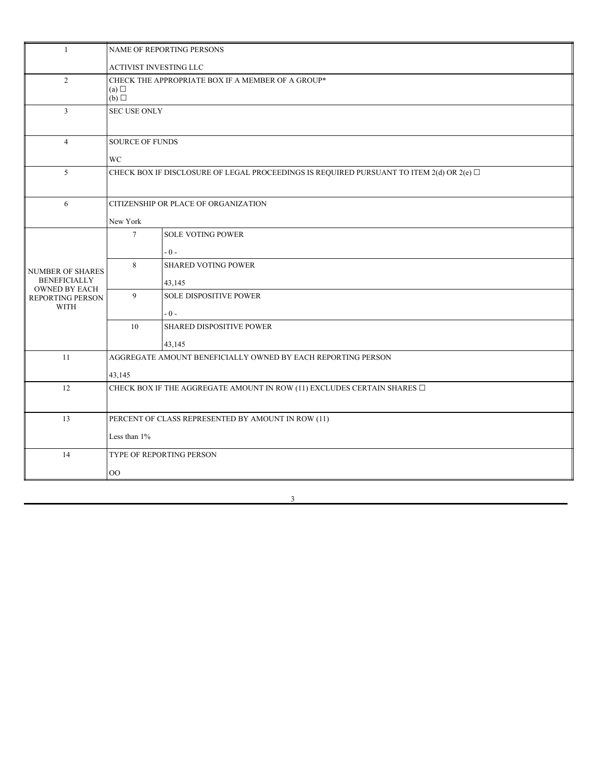| $\overline{1}$                                                 | NAME OF REPORTING PERSONS                                                                     |                               |  |  |  |
|----------------------------------------------------------------|-----------------------------------------------------------------------------------------------|-------------------------------|--|--|--|
|                                                                | ACTIVIST INVESTING LLC                                                                        |                               |  |  |  |
| 2                                                              | CHECK THE APPROPRIATE BOX IF A MEMBER OF A GROUP*<br>(a)<br>(b)                               |                               |  |  |  |
| $\overline{3}$                                                 | <b>SEC USE ONLY</b>                                                                           |                               |  |  |  |
| $\overline{4}$                                                 | SOURCE OF FUNDS                                                                               |                               |  |  |  |
|                                                                | <b>WC</b>                                                                                     |                               |  |  |  |
| 5                                                              | CHECK BOX IF DISCLOSURE OF LEGAL PROCEEDINGS IS REQUIRED PURSUANT TO ITEM 2(d) OR 2(e) $\Box$ |                               |  |  |  |
| 6                                                              | CITIZENSHIP OR PLACE OF ORGANIZATION                                                          |                               |  |  |  |
|                                                                | New York                                                                                      |                               |  |  |  |
|                                                                | $7\overline{ }$                                                                               | <b>SOLE VOTING POWER</b>      |  |  |  |
|                                                                |                                                                                               | $-0-$                         |  |  |  |
| <b>NUMBER OF SHARES</b>                                        | 8                                                                                             | <b>SHARED VOTING POWER</b>    |  |  |  |
| <b>BENEFICIALLY</b>                                            |                                                                                               | 43,145                        |  |  |  |
| <b>OWNED BY EACH</b><br><b>REPORTING PERSON</b><br><b>WITH</b> | 9                                                                                             | <b>SOLE DISPOSITIVE POWER</b> |  |  |  |
|                                                                |                                                                                               | $-0-$                         |  |  |  |
|                                                                | 10                                                                                            | SHARED DISPOSITIVE POWER      |  |  |  |
|                                                                |                                                                                               | 43,145                        |  |  |  |
| 11                                                             | AGGREGATE AMOUNT BENEFICIALLY OWNED BY EACH REPORTING PERSON                                  |                               |  |  |  |
|                                                                | 43,145                                                                                        |                               |  |  |  |
| 12                                                             | CHECK BOX IF THE AGGREGATE AMOUNT IN ROW (11) EXCLUDES CERTAIN SHARES $\Box$                  |                               |  |  |  |
|                                                                |                                                                                               |                               |  |  |  |
| 13                                                             | PERCENT OF CLASS REPRESENTED BY AMOUNT IN ROW (11)                                            |                               |  |  |  |
| Less than $1\%$                                                |                                                                                               |                               |  |  |  |
| 14                                                             | TYPE OF REPORTING PERSON                                                                      |                               |  |  |  |
|                                                                | $_{\rm OO}$                                                                                   |                               |  |  |  |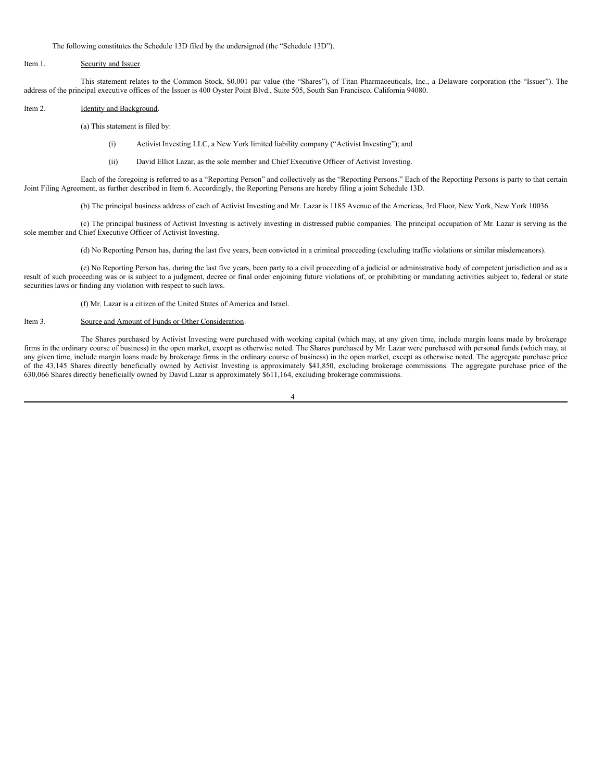The following constitutes the Schedule 13D filed by the undersigned (the "Schedule 13D").

### Item 1. Security and Issuer.

This statement relates to the Common Stock, \$0.001 par value (the "Shares"), of Titan Pharmaceuticals, Inc., a Delaware corporation (the "Issuer"). The address of the principal executive offices of the Issuer is 400 Oyster Point Blvd., Suite 505, South San Francisco, California 94080.

### Item 2. **Identity and Background.**

(a) This statement is filed by:

- (i) Activist Investing LLC, a New York limited liability company ("Activist Investing"); and
- (ii) David Elliot Lazar, as the sole member and Chief Executive Officer of Activist Investing.

Each of the foregoing is referred to as a "Reporting Person" and collectively as the "Reporting Persons." Each of the Reporting Persons is party to that certain Joint Filing Agreement, as further described in Item 6. Accordingly, the Reporting Persons are hereby filing a joint Schedule 13D.

(b) The principal business address of each of Activist Investing and Mr. Lazar is 1185 Avenue of the Americas, 3rd Floor, New York, New York 10036.

(c) The principal business of Activist Investing is actively investing in distressed public companies. The principal occupation of Mr. Lazar is serving as the sole member and Chief Executive Officer of Activist Investing.

(d) No Reporting Person has, during the last five years, been convicted in a criminal proceeding (excluding traffic violations or similar misdemeanors).

(e) No Reporting Person has, during the last five years, been party to a civil proceeding of a judicial or administrative body of competent jurisdiction and as a result of such proceeding was or is subject to a judgment, decree or final order enjoining future violations of, or prohibiting or mandating activities subject to, federal or state securities laws or finding any violation with respect to such laws.

(f) Mr. Lazar is a citizen of the United States of America and Israel.

### Item 3. Source and Amount of Funds or Other Consideration.

The Shares purchased by Activist Investing were purchased with working capital (which may, at any given time, include margin loans made by brokerage firms in the ordinary course of business) in the open market, except as otherwise noted. The Shares purchased by Mr. Lazar were purchased with personal funds (which may, at any given time, include margin loans made by brokerage firms in the ordinary course of business) in the open market, except as otherwise noted. The aggregate purchase price of the 43,145 Shares directly beneficially owned by Activist Investing is approximately \$41,850, excluding brokerage commissions. The aggregate purchase price of the 630,066 Shares directly beneficially owned by David Lazar is approximately \$611,164, excluding brokerage commissions.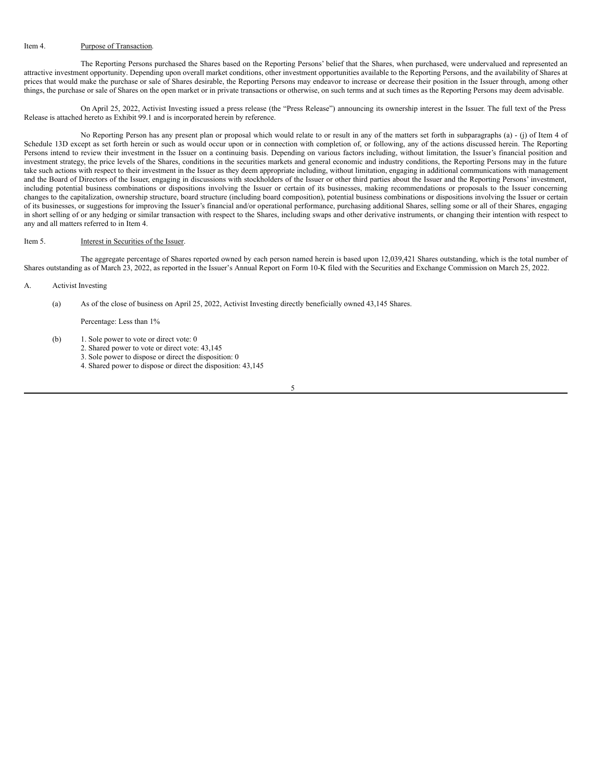### Item 4. Purpose of Transaction.

The Reporting Persons purchased the Shares based on the Reporting Persons' belief that the Shares, when purchased, were undervalued and represented an attractive investment opportunity. Depending upon overall market conditions, other investment opportunities available to the Reporting Persons, and the availability of Shares at prices that would make the purchase or sale of Shares desirable, the Reporting Persons may endeavor to increase or decrease their position in the Issuer through, among other things, the purchase or sale of Shares on the open market or in private transactions or otherwise, on such terms and at such times as the Reporting Persons may deem advisable.

On April 25, 2022, Activist Investing issued a press release (the "Press Release") announcing its ownership interest in the Issuer. The full text of the Press Release is attached hereto as Exhibit 99.1 and is incorporated herein by reference.

No Reporting Person has any present plan or proposal which would relate to or result in any of the matters set forth in subparagraphs (a) - (j) of Item 4 of Schedule 13D except as set forth herein or such as would occur upon or in connection with completion of, or following, any of the actions discussed herein. The Reporting Persons intend to review their investment in the Issuer on a continuing basis. Depending on various factors including, without limitation, the Issuer's financial position and investment strategy, the price levels of the Shares, conditions in the securities markets and general economic and industry conditions, the Reporting Persons may in the future take such actions with respect to their investment in the Issuer as they deem appropriate including, without limitation, engaging in additional communications with management and the Board of Directors of the Issuer, engaging in discussions with stockholders of the Issuer or other third parties about the Issuer and the Reporting Persons' investment, including potential business combinations or dispositions involving the Issuer or certain of its businesses, making recommendations or proposals to the Issuer concerning changes to the capitalization, ownership structure, board structure (including board composition), potential business combinations or dispositions involving the Issuer or certain of its businesses, or suggestions for improving the Issuer's financial and/or operational performance, purchasing additional Shares, selling some or all of their Shares, engaging in short selling of or any hedging or similar transaction with respect to the Shares, including swaps and other derivative instruments, or changing their intention with respect to any and all matters referred to in Item 4.

#### Item 5. Interest in Securities of the Issuer.

The aggregate percentage of Shares reported owned by each person named herein is based upon 12,039,421 Shares outstanding, which is the total number of Shares outstanding as of March 23, 2022, as reported in the Issuer's Annual Report on Form 10-K filed with the Securities and Exchange Commission on March 25, 2022.

A. Activist Investing

(a) As of the close of business on April 25, 2022, Activist Investing directly beneficially owned 43,145 Shares.

Percentage: Less than 1%

- (b) 1. Sole power to vote or direct vote: 0
	- 2. Shared power to vote or direct vote: 43,145
	- 3. Sole power to dispose or direct the disposition: 0
	- 4. Shared power to dispose or direct the disposition: 43,145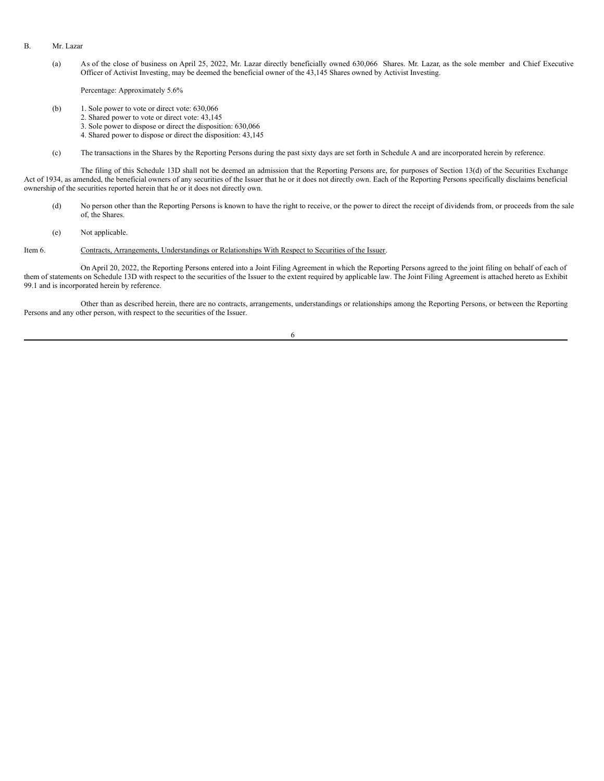### B. Mr. Lazar

(a) As of the close of business on April 25, 2022, Mr. Lazar directly beneficially owned 630,066 Shares. Mr. Lazar, as the sole member and Chief Executive Officer of Activist Investing, may be deemed the beneficial owner of the 43,145 Shares owned by Activist Investing.

Percentage: Approximately 5.6%

- (b) 1. Sole power to vote or direct vote: 630,066
	- 2. Shared power to vote or direct vote: 43,145
	- 3. Sole power to dispose or direct the disposition: 630,066
	- 4. Shared power to dispose or direct the disposition: 43,145
- (c) The transactions in the Shares by the Reporting Persons during the past sixty days are set forth in Schedule A and are incorporated herein by reference.

The filing of this Schedule 13D shall not be deemed an admission that the Reporting Persons are, for purposes of Section 13(d) of the Securities Exchange Act of 1934, as amended, the beneficial owners of any securities of the Issuer that he or it does not directly own. Each of the Reporting Persons specifically disclaims beneficial ownership of the securities reported herein that he or it does not directly own.

- (d) No person other than the Reporting Persons is known to have the right to receive, or the power to direct the receipt of dividends from, or proceeds from the sale of, the Shares.
- (e) Not applicable.

### Item 6. Contracts, Arrangements, Understandings or Relationships With Respect to Securities of the Issuer.

On April 20, 2022, the Reporting Persons entered into a Joint Filing Agreement in which the Reporting Persons agreed to the joint filing on behalf of each of them of statements on Schedule 13D with respect to the securities of the Issuer to the extent required by applicable law. The Joint Filing Agreement is attached hereto as Exhibit 99.1 and is incorporated herein by reference.

Other than as described herein, there are no contracts, arrangements, understandings or relationships among the Reporting Persons, or between the Reporting Persons and any other person, with respect to the securities of the Issuer.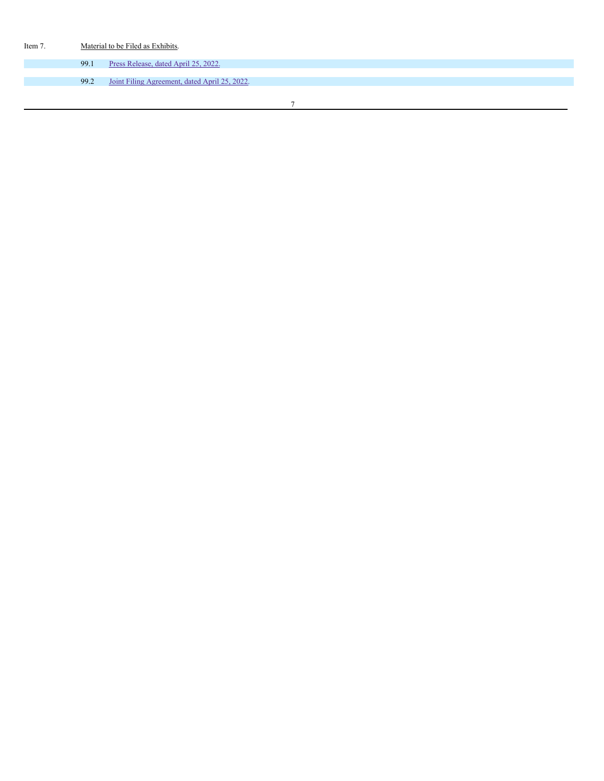| Item 7. | Material to be Filed as Exhibits. |                                               |  |  |  |  |  |  |
|---------|-----------------------------------|-----------------------------------------------|--|--|--|--|--|--|
|         | 99.1                              | Press Release, dated April 25, 2022.          |  |  |  |  |  |  |
|         | 99.2                              | Joint Filing Agreement, dated April 25, 2022. |  |  |  |  |  |  |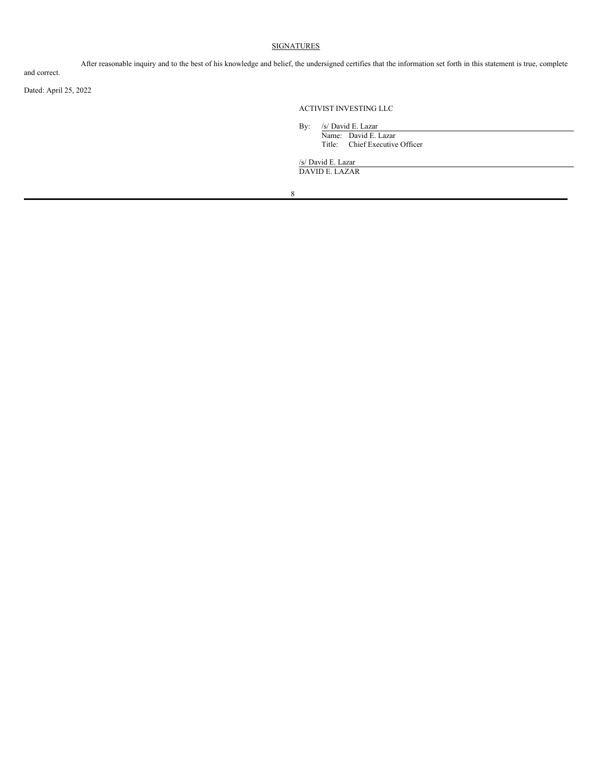# **SIGNATURES**

After reasonable inquiry and to the best of his knowledge and belief, the undersigned certifies that the information set forth in this statement is true, complete

and correct.

Dated: April 25, 2022

# ACTIVIST INVESTING LLC

By: /s/ David E. Lazar Name: David E. Lazar Title: Chief Executive Officer

/s/ David E. Lazar DAVID E. LAZAR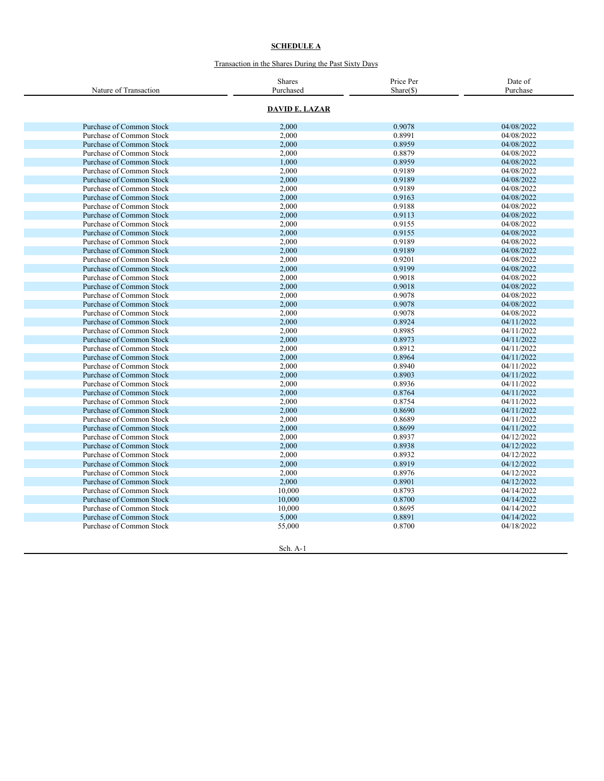#### **S C H E D U L E A**

### Transaction in the Shares During the Past Sixty Days

| Nature of Transaction           | <b>Shares</b><br>Purchased | Price Per<br>$Share(\$)$ | Date of<br>Purchase |
|---------------------------------|----------------------------|--------------------------|---------------------|
|                                 |                            |                          |                     |
|                                 | <b>DAVID E. LAZAR</b>      |                          |                     |
| <b>Purchase of Common Stock</b> | 2,000                      | 0.9078                   | 04/08/2022          |
| Purchase of Common Stock        | 2,000                      | 0.8991                   | 04/08/2022          |
| Purchase of Common Stock        | 2,000                      | 0.8959                   | 04/08/2022          |
| Purchase of Common Stock        | 2,000                      | 0.8879                   | 04/08/2022          |
| <b>Purchase of Common Stock</b> | 1.000                      | 0.8959                   | 04/08/2022          |
| Purchase of Common Stock        | 2,000                      | 0.9189                   | 04/08/2022          |
| Purchase of Common Stock        | 2,000                      | 0.9189                   | 04/08/2022          |
| Purchase of Common Stock        | 2,000                      | 0.9189                   | 04/08/2022          |
| Purchase of Common Stock        | 2,000                      | 0.9163                   | 04/08/2022          |
| Purchase of Common Stock        | 2,000                      | 0.9188                   | 04/08/2022          |
| Purchase of Common Stock        | 2,000                      | 0.9113                   | 04/08/2022          |
| Purchase of Common Stock        | 2,000                      | 0.9155                   | 04/08/2022          |
| Purchase of Common Stock        | 2,000                      | 0.9155                   | 04/08/2022          |
| Purchase of Common Stock        | 2.000                      | 0.9189                   | 04/08/2022          |
| <b>Purchase of Common Stock</b> | 2,000                      | 0.9189                   | 04/08/2022          |
| Purchase of Common Stock        | 2,000                      | 0.9201                   | 04/08/2022          |
| Purchase of Common Stock        | 2,000                      | 0.9199                   | 04/08/2022          |
| Purchase of Common Stock        | 2,000                      | 0.9018                   | 04/08/2022          |
| Purchase of Common Stock        | 2,000                      | 0.9018                   | 04/08/2022          |
| Purchase of Common Stock        | 2,000                      | 0.9078                   | 04/08/2022          |
| <b>Purchase of Common Stock</b> | 2,000                      | 0.9078                   | 04/08/2022          |
| Purchase of Common Stock        | 2.000                      | 0.9078                   | 04/08/2022          |
| <b>Purchase of Common Stock</b> | 2,000                      | 0.8924                   | 04/11/2022          |
| Purchase of Common Stock        | 2,000                      | 0.8985                   | 04/11/2022          |
| <b>Purchase of Common Stock</b> | 2,000                      | 0.8973                   | 04/11/2022          |
| Purchase of Common Stock        | 2,000                      | 0.8912                   | 04/11/2022          |
| Purchase of Common Stock        | 2,000                      | 0.8964                   | 04/11/2022          |
| Purchase of Common Stock        | 2,000                      | 0.8940                   | 04/11/2022          |
| Purchase of Common Stock        | 2,000                      | 0.8903                   | 04/11/2022          |
| Purchase of Common Stock        | 2,000                      | 0.8936                   | 04/11/2022          |
| <b>Purchase of Common Stock</b> | 2,000                      | 0.8764                   | 04/11/2022          |
| Purchase of Common Stock        | 2,000                      | 0.8754                   | 04/11/2022          |
| <b>Purchase of Common Stock</b> | 2,000                      | 0.8690                   | 04/11/2022          |
| Purchase of Common Stock        | 2,000                      | 0.8689                   | 04/11/2022          |
| Purchase of Common Stock        | 2,000                      | 0.8699                   | 04/11/2022          |
| Purchase of Common Stock        | 2,000                      | 0.8937                   | 04/12/2022          |
| <b>Purchase of Common Stock</b> | 2,000                      | 0.8938                   | 04/12/2022          |
| Purchase of Common Stock        | 2,000                      | 0.8932                   | 04/12/2022          |
| <b>Purchase of Common Stock</b> | 2,000                      | 0.8919                   | 04/12/2022          |
| Purchase of Common Stock        | 2,000                      | 0.8976                   | 04/12/2022          |
| Purchase of Common Stock        | 2,000                      | 0.8901                   | 04/12/2022          |
| Purchase of Common Stock        | 10,000                     | 0.8793                   | 04/14/2022          |
| Purchase of Common Stock        | 10.000                     | 0.8700                   | 04/14/2022          |
| Purchase of Common Stock        | 10,000                     | 0.8695                   | 04/14/2022          |
| Purchase of Common Stock        | 5,000                      | 0.8891                   | 04/14/2022          |
| Purchase of Common Stock        | 55,000                     | 0.8700                   | 04/18/2022          |
|                                 |                            |                          |                     |
|                                 |                            |                          |                     |
|                                 | Sch. A-1                   |                          |                     |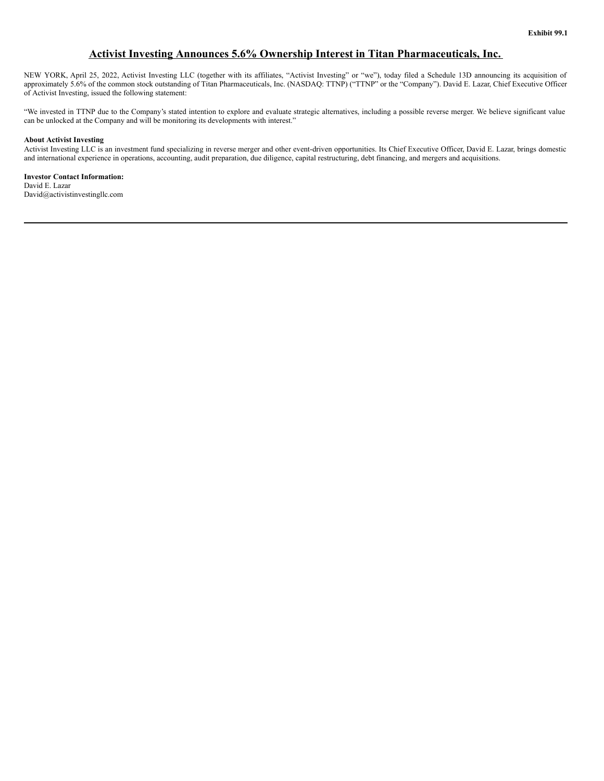# **Activist Investing Announces 5.6% Ownership Interest in Titan Pharmaceuticals, Inc.**

<span id="page-9-0"></span>NEW YORK, April 25, 2022, Activist Investing LLC (together with its affiliates, "Activist Investing" or "we"), today filed a Schedule 13D announcing its acquisition of approximately 5.6% of the common stock outstanding of Titan Pharmaceuticals, Inc. (NASDAQ: TTNP) ("TTNP" or the "Company"). David E. Lazar, Chief Executive Officer of Activist Investing, issued the following statement:

"We invested in TTNP due to the Company's stated intention to explore and evaluate strategic alternatives, including a possible reverse merger. We believe significant value can be unlocked at the Company and will be monitoring its developments with interest."

## **About Activist Investing**

Activist Investing LLC is an investment fund specializing in reverse merger and other event-driven opportunities. Its Chief Executive Officer, David E. Lazar, brings domestic and international experience in operations, accounting, audit preparation, due diligence, capital restructuring, debt financing, and mergers and acquisitions.

**Investor Contact Information:** David E. Lazar David@activistinvestingllc.com